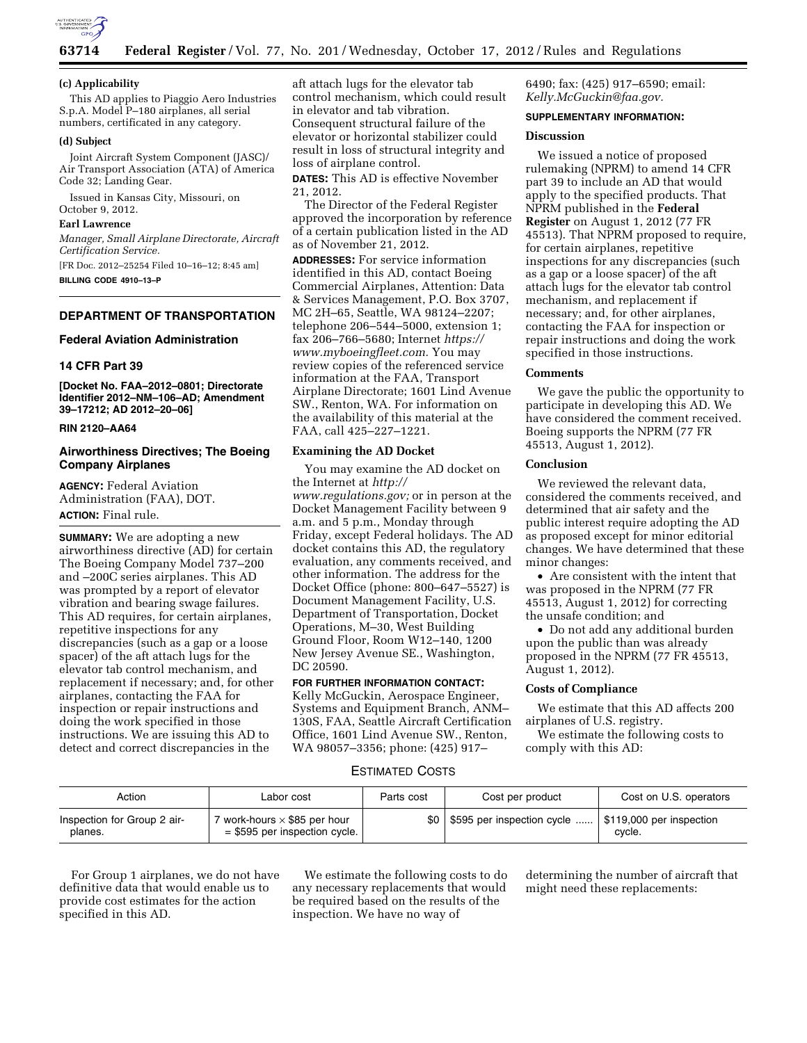

#### **(c) Applicability**

This AD applies to Piaggio Aero Industries S.p.A. Model P–180 airplanes, all serial numbers, certificated in any category.

#### **(d) Subject**

Joint Aircraft System Component (JASC)/ Air Transport Association (ATA) of America Code 32; Landing Gear.

Issued in Kansas City, Missouri, on October 9, 2012.

### **Earl Lawrence**

*Manager, Small Airplane Directorate, Aircraft Certification Service.* 

[FR Doc. 2012–25254 Filed 10–16–12; 8:45 am] **BILLING CODE 4910–13–P** 

#### **DEPARTMENT OF TRANSPORTATION**

#### **Federal Aviation Administration**

# **14 CFR Part 39**

**[Docket No. FAA–2012–0801; Directorate Identifier 2012–NM–106–AD; Amendment 39–17212; AD 2012–20–06]** 

### **RIN 2120–AA64**

# **Airworthiness Directives; The Boeing Company Airplanes**

**AGENCY:** Federal Aviation Administration (FAA), DOT. **ACTION:** Final rule.

**SUMMARY:** We are adopting a new airworthiness directive (AD) for certain The Boeing Company Model 737–200 and –200C series airplanes. This AD was prompted by a report of elevator vibration and bearing swage failures. This AD requires, for certain airplanes, repetitive inspections for any discrepancies (such as a gap or a loose spacer) of the aft attach lugs for the elevator tab control mechanism, and replacement if necessary; and, for other airplanes, contacting the FAA for inspection or repair instructions and doing the work specified in those instructions. We are issuing this AD to detect and correct discrepancies in the

aft attach lugs for the elevator tab control mechanism, which could result in elevator and tab vibration. Consequent structural failure of the elevator or horizontal stabilizer could result in loss of structural integrity and loss of airplane control.

**DATES:** This AD is effective November 21, 2012.

The Director of the Federal Register approved the incorporation by reference of a certain publication listed in the AD as of November 21, 2012.

**ADDRESSES:** For service information identified in this AD, contact Boeing Commercial Airplanes, Attention: Data & Services Management, P.O. Box 3707, MC 2H–65, Seattle, WA 98124–2207; telephone 206–544–5000, extension 1; fax 206–766–5680; Internet *[https://](https://www.myboeingfleet.com) [www.myboeingfleet.com.](https://www.myboeingfleet.com)* You may review copies of the referenced service information at the FAA, Transport Airplane Directorate; 1601 Lind Avenue SW., Renton, WA. For information on the availability of this material at the FAA, call 425–227–1221.

#### **Examining the AD Docket**

You may examine the AD docket on the Internet at *[http://](http://www.regulations.gov)  [www.regulations.gov;](http://www.regulations.gov)* or in person at the Docket Management Facility between 9 a.m. and 5 p.m., Monday through Friday, except Federal holidays. The AD docket contains this AD, the regulatory evaluation, any comments received, and other information. The address for the Docket Office (phone: 800–647–5527) is Document Management Facility, U.S. Department of Transportation, Docket Operations, M–30, West Building Ground Floor, Room W12–140, 1200 New Jersey Avenue SE., Washington, DC 20590.

# **FOR FURTHER INFORMATION CONTACT:**

Kelly McGuckin, Aerospace Engineer, Systems and Equipment Branch, ANM– 130S, FAA, Seattle Aircraft Certification Office, 1601 Lind Avenue SW., Renton, WA 98057–3356; phone: (425) 917–

6490; fax: (425) 917–6590; email: *[Kelly.McGuckin@faa.gov.](mailto:Kelly.McGuckin@faa.gov)* 

#### **SUPPLEMENTARY INFORMATION:**

# **Discussion**

We issued a notice of proposed rulemaking (NPRM) to amend 14 CFR part 39 to include an AD that would apply to the specified products. That NPRM published in the **Federal Register** on August 1, 2012 (77 FR 45513). That NPRM proposed to require, for certain airplanes, repetitive inspections for any discrepancies (such as a gap or a loose spacer) of the aft attach lugs for the elevator tab control mechanism, and replacement if necessary; and, for other airplanes, contacting the FAA for inspection or repair instructions and doing the work specified in those instructions.

#### **Comments**

We gave the public the opportunity to participate in developing this AD. We have considered the comment received. Boeing supports the NPRM (77 FR 45513, August 1, 2012).

# **Conclusion**

We reviewed the relevant data, considered the comments received, and determined that air safety and the public interest require adopting the AD as proposed except for minor editorial changes. We have determined that these minor changes:

• Are consistent with the intent that was proposed in the NPRM (77 FR 45513, August 1, 2012) for correcting the unsafe condition; and

• Do not add any additional burden upon the public than was already proposed in the NPRM (77 FR 45513, August 1, 2012).

# **Costs of Compliance**

We estimate that this AD affects 200 airplanes of U.S. registry.

We estimate the following costs to comply with this AD:

# ESTIMATED COSTS

| Action                                 | Labor cost                                                             | Parts cost       | Cost per product                                     | Cost on U.S. operators |
|----------------------------------------|------------------------------------------------------------------------|------------------|------------------------------------------------------|------------------------|
| Inspection for Group 2 air-<br>planes. | 7 work-hours $\times$ \$85 per hour<br>$=$ \$595 per inspection cycle. | \$0 <sub>1</sub> | \$595 per inspection cycle  \$119,000 per inspection | cycle.                 |

For Group 1 airplanes, we do not have definitive data that would enable us to provide cost estimates for the action specified in this AD.

We estimate the following costs to do any necessary replacements that would be required based on the results of the inspection. We have no way of

determining the number of aircraft that might need these replacements: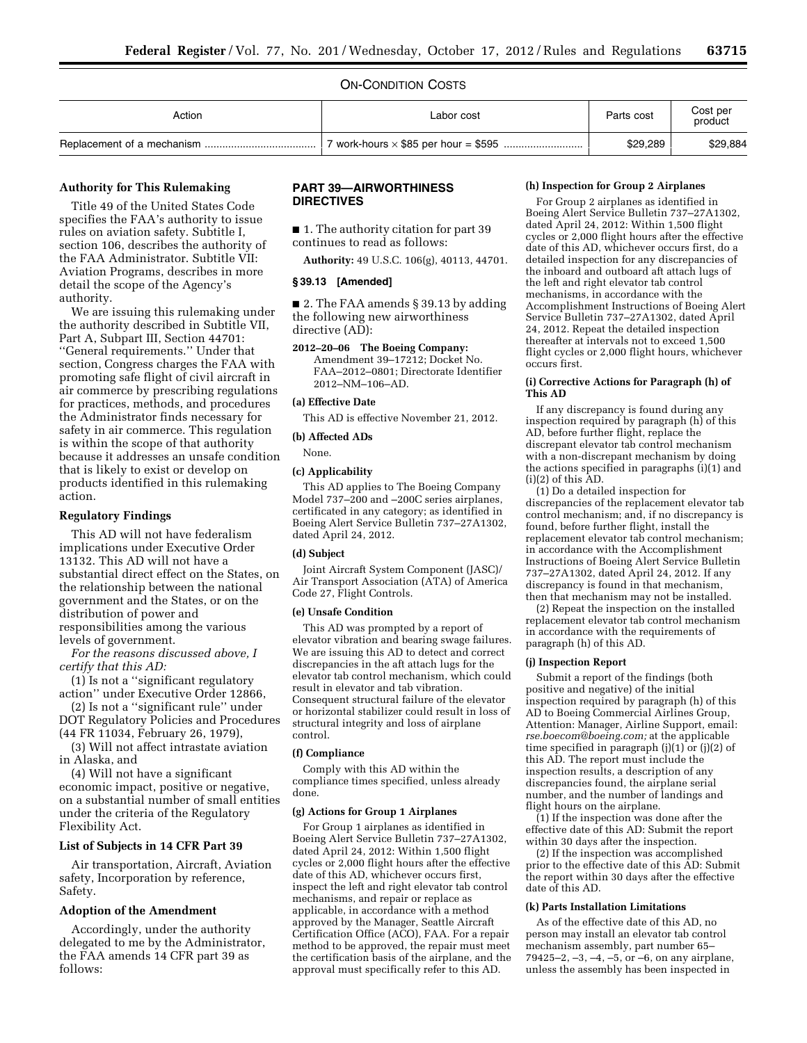#### ON-CONDITION COSTS

| Action | Labor cost | Parts cost | Cost per<br>product |
|--------|------------|------------|---------------------|
|        |            | \$29,289   | \$29,884            |

# **Authority for This Rulemaking**

Title 49 of the United States Code specifies the FAA's authority to issue rules on aviation safety. Subtitle I, section 106, describes the authority of the FAA Administrator. Subtitle VII: Aviation Programs, describes in more detail the scope of the Agency's authority.

We are issuing this rulemaking under the authority described in Subtitle VII, Part A, Subpart III, Section 44701: ''General requirements.'' Under that section, Congress charges the FAA with promoting safe flight of civil aircraft in air commerce by prescribing regulations for practices, methods, and procedures the Administrator finds necessary for safety in air commerce. This regulation is within the scope of that authority because it addresses an unsafe condition that is likely to exist or develop on products identified in this rulemaking action.

#### **Regulatory Findings**

This AD will not have federalism implications under Executive Order 13132. This AD will not have a substantial direct effect on the States, on the relationship between the national government and the States, or on the distribution of power and responsibilities among the various levels of government.

*For the reasons discussed above, I certify that this AD:* 

(1) Is not a ''significant regulatory action'' under Executive Order 12866,

(2) Is not a ''significant rule'' under DOT Regulatory Policies and Procedures (44 FR 11034, February 26, 1979),

(3) Will not affect intrastate aviation in Alaska, and

(4) Will not have a significant economic impact, positive or negative, on a substantial number of small entities under the criteria of the Regulatory Flexibility Act.

#### **List of Subjects in 14 CFR Part 39**

Air transportation, Aircraft, Aviation safety, Incorporation by reference, Safety.

#### **Adoption of the Amendment**

Accordingly, under the authority delegated to me by the Administrator, the FAA amends 14 CFR part 39 as follows:

# **PART 39—AIRWORTHINESS DIRECTIVES**

■ 1. The authority citation for part 39 continues to read as follows:

**Authority:** 49 U.S.C. 106(g), 40113, 44701.

# **§ 39.13 [Amended]**

■ 2. The FAA amends § 39.13 by adding the following new airworthiness directive (AD):

**2012–20–06 The Boeing Company:** 

Amendment 39–17212; Docket No. FAA–2012–0801; Directorate Identifier 2012–NM–106–AD.

#### **(a) Effective Date**

This AD is effective November 21, 2012.

#### **(b) Affected ADs**

None.

#### **(c) Applicability**

This AD applies to The Boeing Company Model 737–200 and –200C series airplanes, certificated in any category; as identified in Boeing Alert Service Bulletin 737–27A1302, dated April 24, 2012.

#### **(d) Subject**

Joint Aircraft System Component (JASC)/ Air Transport Association (ATA) of America Code 27, Flight Controls.

#### **(e) Unsafe Condition**

This AD was prompted by a report of elevator vibration and bearing swage failures. We are issuing this AD to detect and correct discrepancies in the aft attach lugs for the elevator tab control mechanism, which could result in elevator and tab vibration. Consequent structural failure of the elevator or horizontal stabilizer could result in loss of structural integrity and loss of airplane control.

#### **(f) Compliance**

Comply with this AD within the compliance times specified, unless already done.

#### **(g) Actions for Group 1 Airplanes**

For Group 1 airplanes as identified in Boeing Alert Service Bulletin 737–27A1302, dated April 24, 2012: Within 1,500 flight cycles or 2,000 flight hours after the effective date of this AD, whichever occurs first, inspect the left and right elevator tab control mechanisms, and repair or replace as applicable, in accordance with a method approved by the Manager, Seattle Aircraft Certification Office (ACO), FAA. For a repair method to be approved, the repair must meet the certification basis of the airplane, and the approval must specifically refer to this AD.

#### **(h) Inspection for Group 2 Airplanes**

For Group 2 airplanes as identified in Boeing Alert Service Bulletin 737–27A1302, dated April 24, 2012: Within 1,500 flight cycles or 2,000 flight hours after the effective date of this AD, whichever occurs first, do a detailed inspection for any discrepancies of the inboard and outboard aft attach lugs of the left and right elevator tab control mechanisms, in accordance with the Accomplishment Instructions of Boeing Alert Service Bulletin 737–27A1302, dated April 24, 2012. Repeat the detailed inspection thereafter at intervals not to exceed 1,500 flight cycles or 2,000 flight hours, whichever occurs first.

### **(i) Corrective Actions for Paragraph (h) of This AD**

If any discrepancy is found during any inspection required by paragraph (h) of this AD, before further flight, replace the discrepant elevator tab control mechanism with a non-discrepant mechanism by doing the actions specified in paragraphs (i)(1) and  $(i)(2)$  of this  $AD$ .

(1) Do a detailed inspection for discrepancies of the replacement elevator tab control mechanism; and, if no discrepancy is found, before further flight, install the replacement elevator tab control mechanism; in accordance with the Accomplishment Instructions of Boeing Alert Service Bulletin 737–27A1302, dated April 24, 2012. If any discrepancy is found in that mechanism, then that mechanism may not be installed.

(2) Repeat the inspection on the installed replacement elevator tab control mechanism in accordance with the requirements of paragraph (h) of this AD.

#### **(j) Inspection Report**

Submit a report of the findings (both positive and negative) of the initial inspection required by paragraph (h) of this AD to Boeing Commercial Airlines Group, Attention: Manager, Airline Support, email: *[rse.boecom@boeing.com;](mailto:rse.boecom@boeing.com)* at the applicable time specified in paragraph  $(i)(1)$  or  $(i)(2)$  of this AD. The report must include the inspection results, a description of any discrepancies found, the airplane serial number, and the number of landings and flight hours on the airplane.

(1) If the inspection was done after the effective date of this AD: Submit the report within 30 days after the inspection.

(2) If the inspection was accomplished prior to the effective date of this AD: Submit the report within 30 days after the effective date of this AD.

#### **(k) Parts Installation Limitations**

As of the effective date of this AD, no person may install an elevator tab control mechanism assembly, part number 65– 79425–2, –3, –4, –5, or –6, on any airplane, unless the assembly has been inspected in